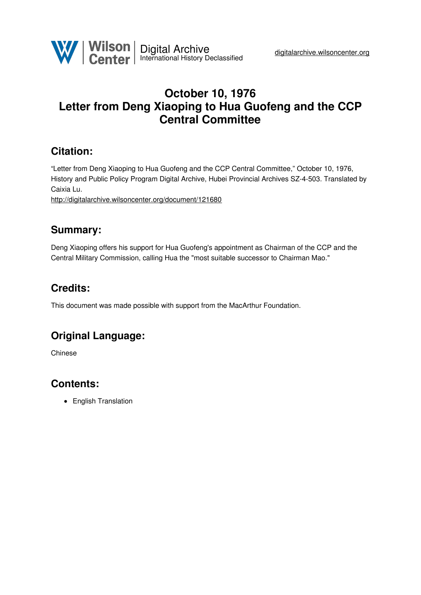

# **October 10, 1976 Letter from Deng Xiaoping to Hua Guofeng and the CCP Central Committee**

### **Citation:**

"Letter from Deng Xiaoping to Hua Guofeng and the CCP Central Committee," October 10, 1976, History and Public Policy Program Digital Archive, Hubei Provincial Archives SZ-4-503. Translated by Caixia Lu.

<http://digitalarchive.wilsoncenter.org/document/121680>

### **Summary:**

Deng Xiaoping offers his support for Hua Guofeng's appointment as Chairman of the CCP and the Central Military Commission, calling Hua the "most suitable successor to Chairman Mao."

# **Credits:**

This document was made possible with support from the MacArthur Foundation.

# **Original Language:**

Chinese

# **Contents:**

• English Translation